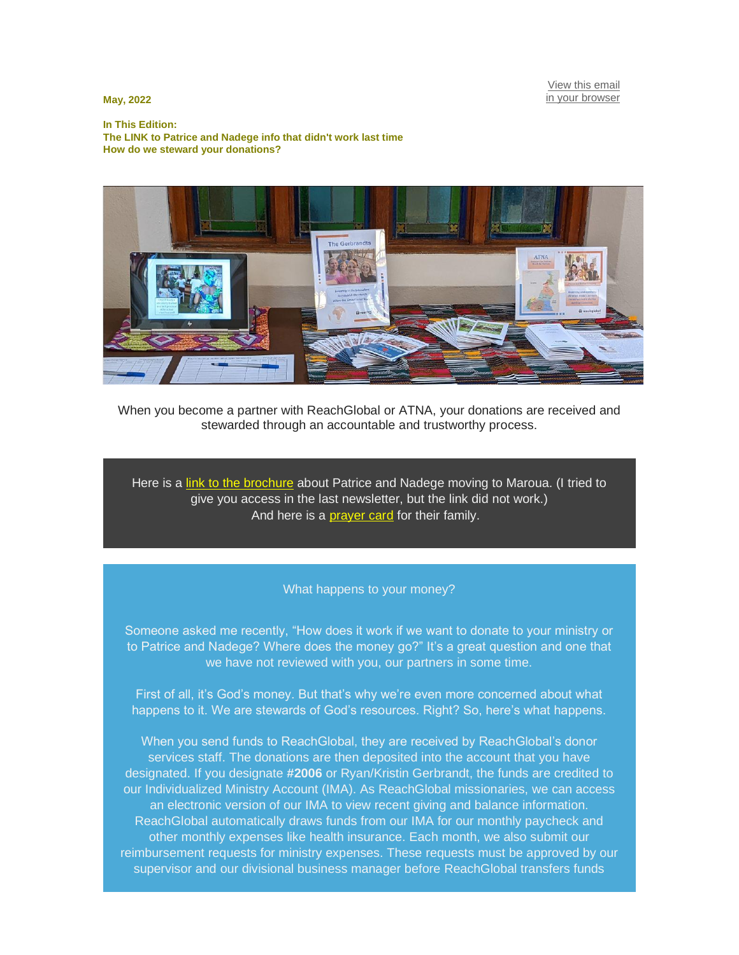[View this email](https://mailchi.mp/0a7ad4366204/where-does-your-donation-go?e=9f1bc131f0) [in your browser](https://mailchi.mp/0a7ad4366204/where-does-your-donation-go?e=9f1bc131f0)

**May, 2022**

**In This Edition: The LINK to Patrice and Nadege info that didn't work last time How do we steward your donations?**



When you become a partner with ReachGlobal or ATNA, your donations are received and stewarded through an accountable and trustworthy process.

Here is a [link to the brochure](https://facebook.us6.list-manage.com/track/click?u=f7ee4088375749b88a7ed35d5&id=f43b0adfa1&e=9f1bc131f0) about Patrice and Nadege moving to Maroua. (I tried to give you access in the last newsletter, but the link did not work.) And here is a **[prayer card](https://facebook.us6.list-manage.com/track/click?u=f7ee4088375749b88a7ed35d5&id=c34dc23b70&e=9f1bc131f0)** for their family.

## What happens to your money?

Someone asked me recently, "How does it work if we want to donate to your ministry or to Patrice and Nadege? Where does the money go?" It's a great question and one that we have not reviewed with you, our partners in some time.

First of all, it's God's money. But that's why we're even more concerned about what happens to it. We are stewards of God's resources. Right? So, here's what happens.

When you send funds to ReachGlobal, they are received by ReachGlobal's donor services staff. The donations are then deposited into the account that you have designated. If you designate **#2006** or Ryan/Kristin Gerbrandt, the funds are credited to our Individualized Ministry Account (IMA). As ReachGlobal missionaries, we can access an electronic version of our IMA to view recent giving and balance information. ReachGlobal automatically draws funds from our IMA for our monthly paycheck and other monthly expenses like health insurance. Each month, we also submit our reimbursement requests for ministry expenses. These requests must be approved by our supervisor and our divisional business manager before ReachGlobal transfers funds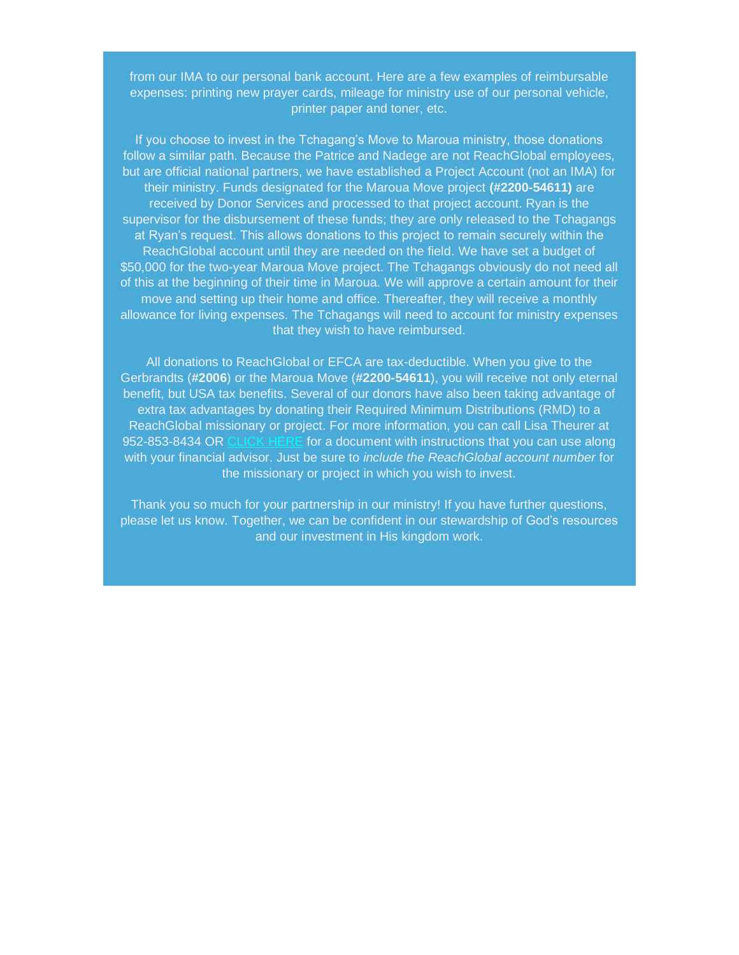from our IMA to our personal bank account. Here are a few examples of reimbursable expenses: printing new prayer cards, mileage for ministry use of our personal vehicle, printer paper and toner, etc.

If you choose to invest in the Tchagang's Move to Maroua ministry, those donations follow a similar path. Because the Patrice and Nadege are not ReachGlobal employees, but are official national partners, we have established a Project Account (not an IMA) for their ministry. Funds designated for the Maroua Move project **(#2200-54611)** are received by Donor Services and processed to that project account. Ryan is the supervisor for the disbursement of these funds; they are only released to the Tchagangs at Ryan's request. This allows donations to this project to remain securely within the ReachGlobal account until they are needed on the field. We have set a budget of \$50,000 for the two-year Maroua Move project. The Tchagangs obviously do not need all of this at the beginning of their time in Maroua. We will approve a certain amount for their move and setting up their home and office. Thereafter, they will receive a monthly allowance for living expenses. The Tchagangs will need to account for ministry expenses that they wish to have reimbursed.

All donations to ReachGlobal or EFCA are tax-deductible. When you give to the Gerbrandts (**#2006**) or the Maroua Move (**#2200-54611**), you will receive not only eternal benefit, but USA tax benefits. Several of our donors have also been taking advantage of extra tax advantages by donating their Required Minimum Distributions (RMD) to a ReachGlobal missionary or project. For more information, you can call Lisa Theurer at 952-853-8434 OR [CLICK HERE](https://facebook.us6.list-manage.com/track/click?u=f7ee4088375749b88a7ed35d5&id=175284f354&e=9f1bc131f0) for a document with instructions that you can use along with your financial advisor. Just be sure to *include the ReachGlobal account number* for the missionary or project in which you wish to invest.

Thank you so much for your partnership in our ministry! If you have further questions, please let us know. Together, we can be confident in our stewardship of God's resources and our investment in His kingdom work.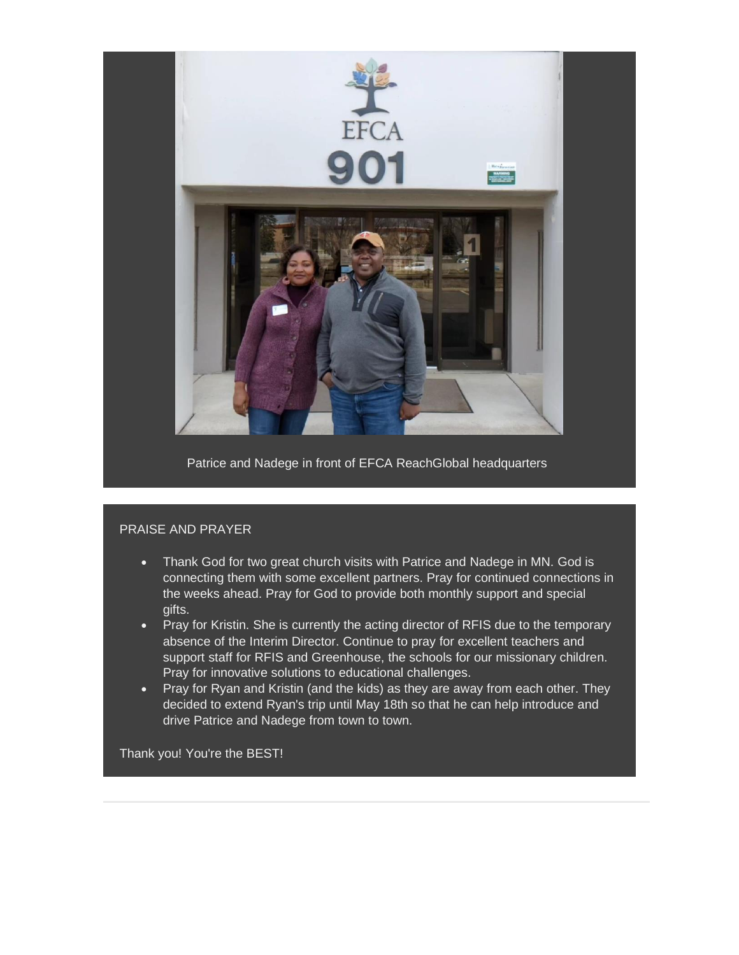

Patrice and Nadege in front of EFCA ReachGlobal headquarters

## PRAISE AND PRAYER

- Thank God for two great church visits with Patrice and Nadege in MN. God is connecting them with some excellent partners. Pray for continued connections in the weeks ahead. Pray for God to provide both monthly support and special gifts.
- Pray for Kristin. She is currently the acting director of RFIS due to the temporary absence of the Interim Director. Continue to pray for excellent teachers and support staff for RFIS and Greenhouse, the schools for our missionary children. Pray for innovative solutions to educational challenges.
- Pray for Ryan and Kristin (and the kids) as they are away from each other. They decided to extend Ryan's trip until May 18th so that he can help introduce and drive Patrice and Nadege from town to town.

Thank you! You're the BEST!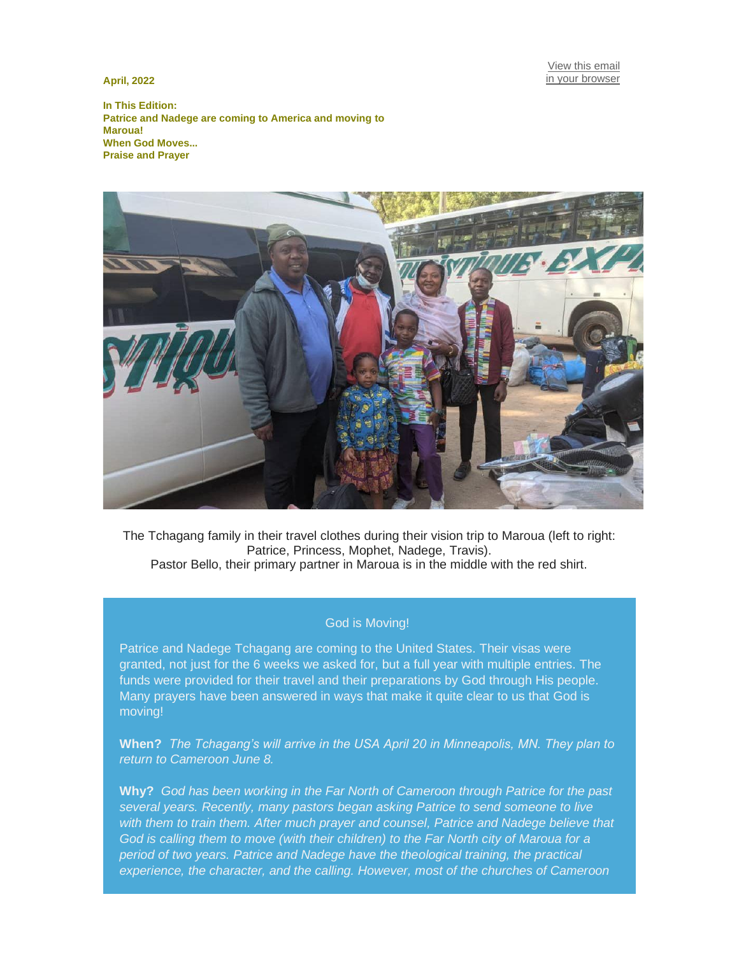**April, 2022**

[View this email](https://mailchi.mp/cac3286b0cf8/when-god-moves-special-edition?e=9f1bc131f0) [in your browser](https://mailchi.mp/cac3286b0cf8/when-god-moves-special-edition?e=9f1bc131f0)

**In This Edition: Patrice and Nadege are coming to America and moving to Maroua! When God Moves... Praise and Prayer**



The Tchagang family in their travel clothes during their vision trip to Maroua (left to right: Patrice, Princess, Mophet, Nadege, Travis). Pastor Bello, their primary partner in Maroua is in the middle with the red shirt.

## God is Moving!

Patrice and Nadege Tchagang are coming to the United States. Their visas were granted, not just for the 6 weeks we asked for, but a full year with multiple entries. The funds were provided for their travel and their preparations by God through His people. Many prayers have been answered in ways that make it quite clear to us that God is moving!

**When?** *The Tchagang's will arrive in the USA April 20 in Minneapolis, MN. They plan to return to Cameroon June 8.*

**Why?** *God has been working in the Far North of Cameroon through Patrice for the past several years. Recently, many pastors began asking Patrice to send someone to live with them to train them. After much prayer and counsel, Patrice and Nadege believe that God is calling them to move (with their children) to the Far North city of Maroua for a period of two years. Patrice and Nadege have the theological training, the practical experience, the character, and the calling. However, most of the churches of Cameroon*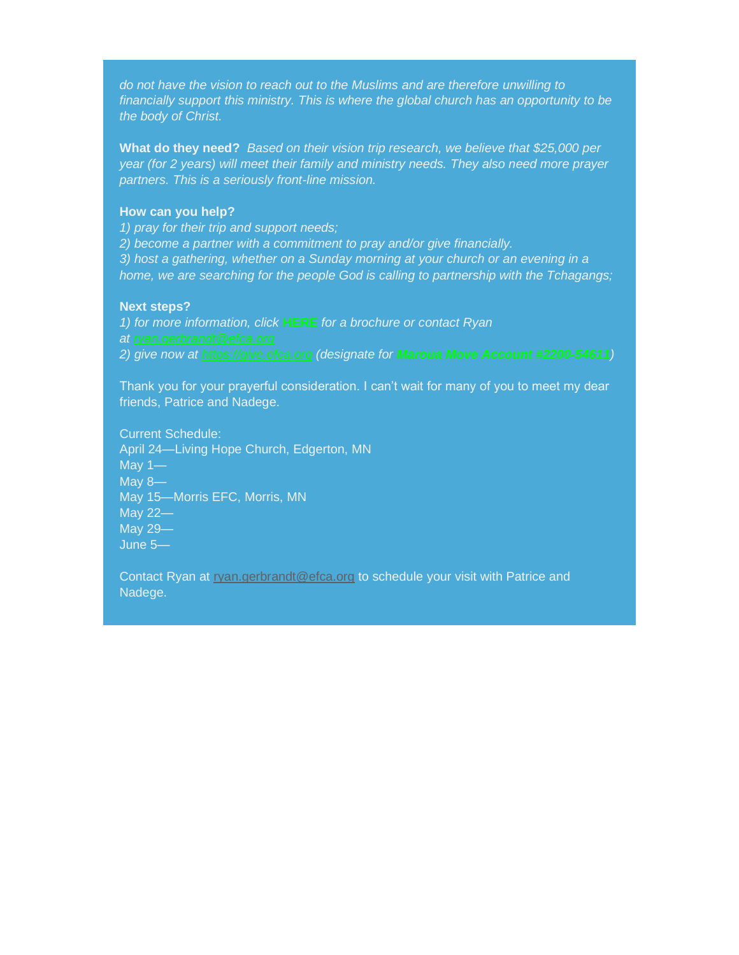*do not have the vision to reach out to the Muslims and are therefore unwilling to financially support this ministry. This is where the global church has an opportunity to be the body of Christ.*

**What do they need?** *Based on their vision trip research, we believe that \$25,000 per year (for 2 years) will meet their family and ministry needs. They also need more prayer partners. This is a seriously front-line mission.*

# **How can you help?**

*1) pray for their trip and support needs;*

*2) become a partner with a commitment to pray and/or give financially. 3) host a gathering, whether on a Sunday morning at your church or an evening in a home, we are searching for the people God is calling to partnership with the Tchagangs;*

### **Next steps?**

*1) for more information, click* **HERE** *for a brochure or contact Ryan 2) give now at [https://give.efca.org](https://facebook.us6.list-manage.com/track/click?u=f7ee4088375749b88a7ed35d5&id=39a951725a&e=9f1bc131f0) (designate for Maroua Move Account #2200-54611)*

Thank you for your prayerful consideration. I can't wait for many of you to meet my dear friends, Patrice and Nadege.

Current Schedule: April 24—Living Hope Church, Edgerton, MN May 1— May 8— May 15—Morris EFC, Morris, MN May 22— May 29— June 5—

Contact Ryan at [ryan.gerbrandt@efca.org](mailto:ryan.gerbrandt@efca.org) to schedule your visit with Patrice and Nadege.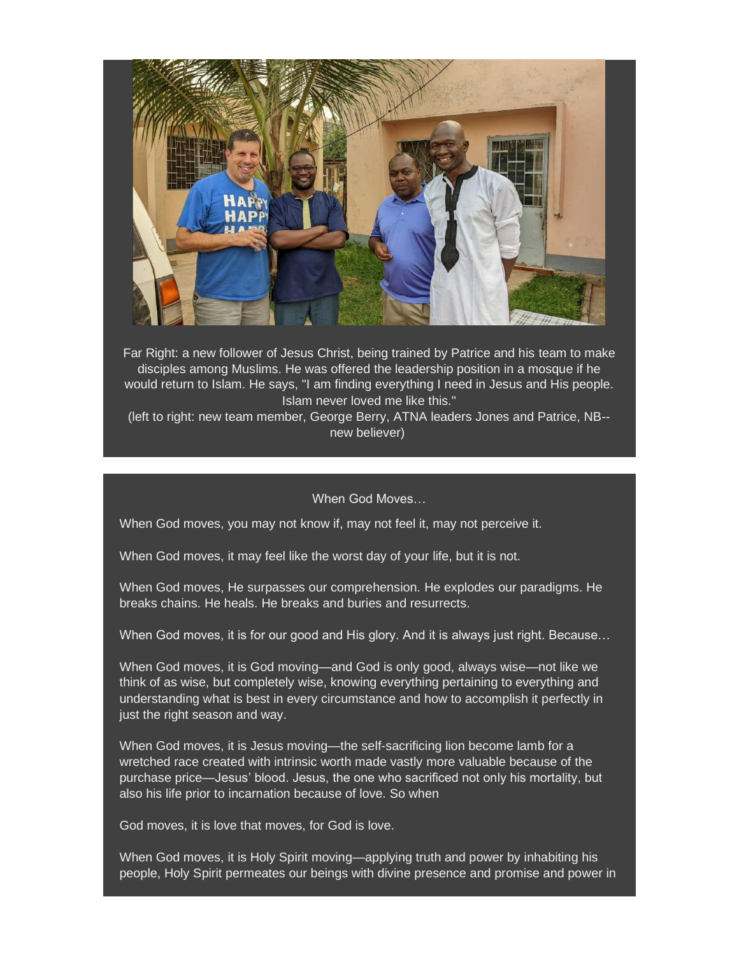

Far Right: a new follower of Jesus Christ, being trained by Patrice and his team to make disciples among Muslims. He was offered the leadership position in a mosque if he would return to Islam. He says, "I am finding everything I need in Jesus and His people. Islam never loved me like this."

(left to right: new team member, George Berry, ATNA leaders Jones and Patrice, NB- new believer)

When God Moves…

When God moves, you may not know if, may not feel it, may not perceive it.

When God moves, it may feel like the worst day of your life, but it is not.

When God moves, He surpasses our comprehension. He explodes our paradigms. He breaks chains. He heals. He breaks and buries and resurrects.

When God moves, it is for our good and His glory. And it is always just right. Because…

When God moves, it is God moving—and God is only good, always wise—not like we think of as wise, but completely wise, knowing everything pertaining to everything and understanding what is best in every circumstance and how to accomplish it perfectly in just the right season and way.

When God moves, it is Jesus moving—the self-sacrificing lion become lamb for a wretched race created with intrinsic worth made vastly more valuable because of the purchase price—Jesus' blood. Jesus, the one who sacrificed not only his mortality, but also his life prior to incarnation because of love. So when

God moves, it is love that moves, for God is love.

When God moves, it is Holy Spirit moving—applying truth and power by inhabiting his people, Holy Spirit permeates our beings with divine presence and promise and power in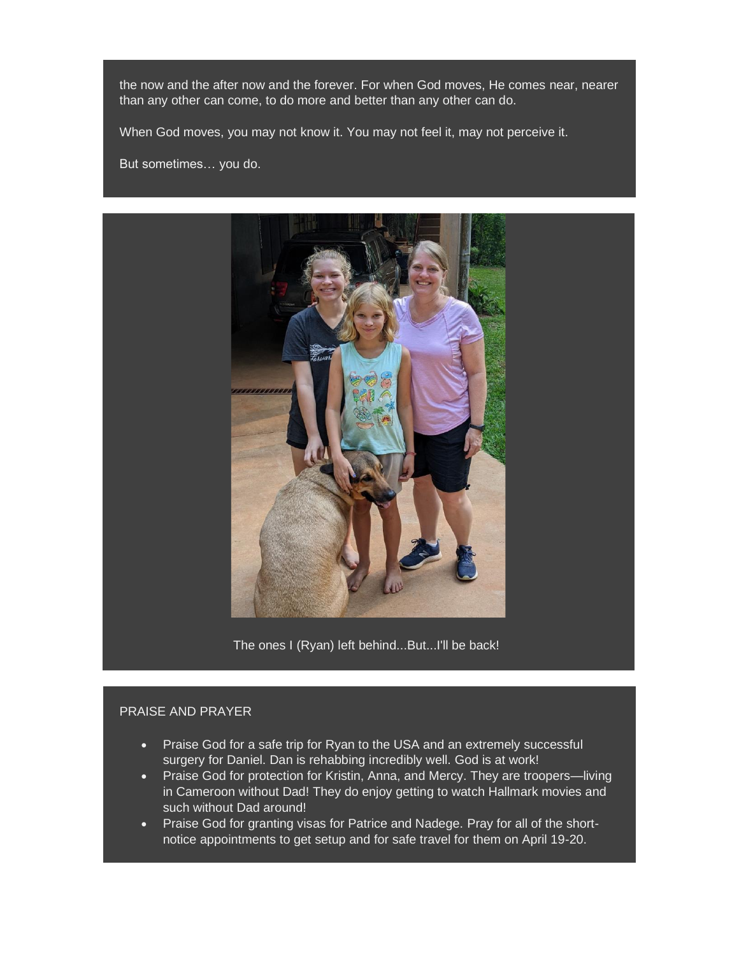the now and the after now and the forever. For when God moves, He comes near, nearer than any other can come, to do more and better than any other can do.

When God moves, you may not know it. You may not feel it, may not perceive it.

But sometimes… you do.



The ones I (Ryan) left behind...But...I'll be back!

# PRAISE AND PRAYER

- Praise God for a safe trip for Ryan to the USA and an extremely successful surgery for Daniel. Dan is rehabbing incredibly well. God is at work!
- **Praise God for protection for Kristin, Anna, and Mercy. They are troopers—living** in Cameroon without Dad! They do enjoy getting to watch Hallmark movies and such without Dad around!
- Praise God for granting visas for Patrice and Nadege. Pray for all of the shortnotice appointments to get setup and for safe travel for them on April 19-20.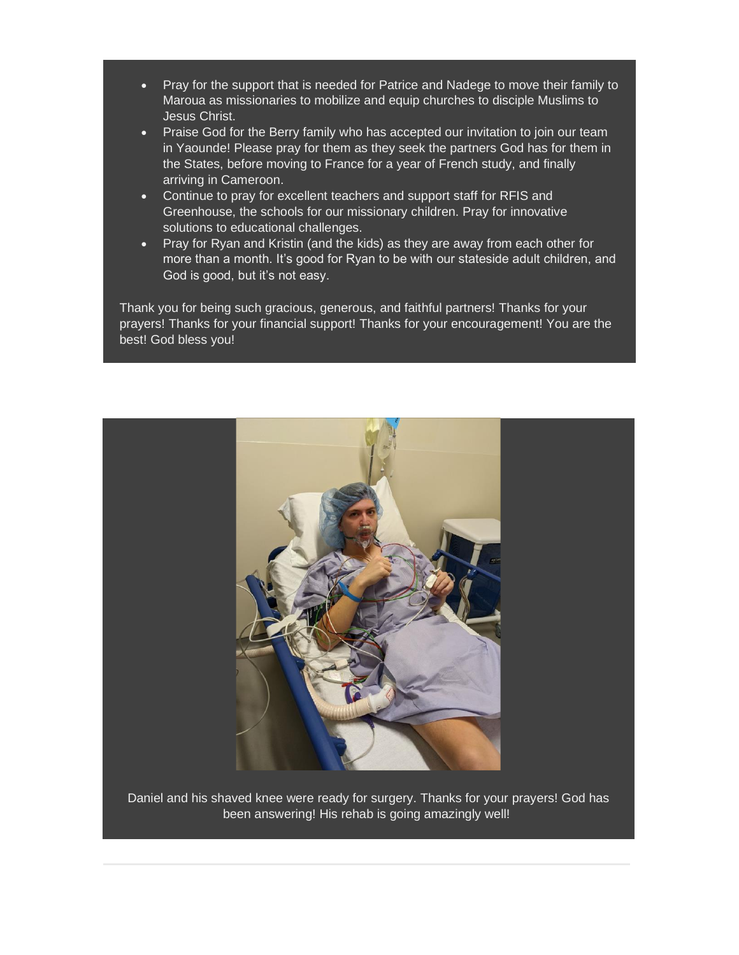- Pray for the support that is needed for Patrice and Nadege to move their family to Maroua as missionaries to mobilize and equip churches to disciple Muslims to Jesus Christ.
- Praise God for the Berry family who has accepted our invitation to join our team in Yaounde! Please pray for them as they seek the partners God has for them in the States, before moving to France for a year of French study, and finally arriving in Cameroon.
- Continue to pray for excellent teachers and support staff for RFIS and Greenhouse, the schools for our missionary children. Pray for innovative solutions to educational challenges.
- Pray for Ryan and Kristin (and the kids) as they are away from each other for more than a month. It's good for Ryan to be with our stateside adult children, and God is good, but it's not easy.

Thank you for being such gracious, generous, and faithful partners! Thanks for your prayers! Thanks for your financial support! Thanks for your encouragement! You are the best! God bless you!



Daniel and his shaved knee were ready for surgery. Thanks for your prayers! God has been answering! His rehab is going amazingly well!